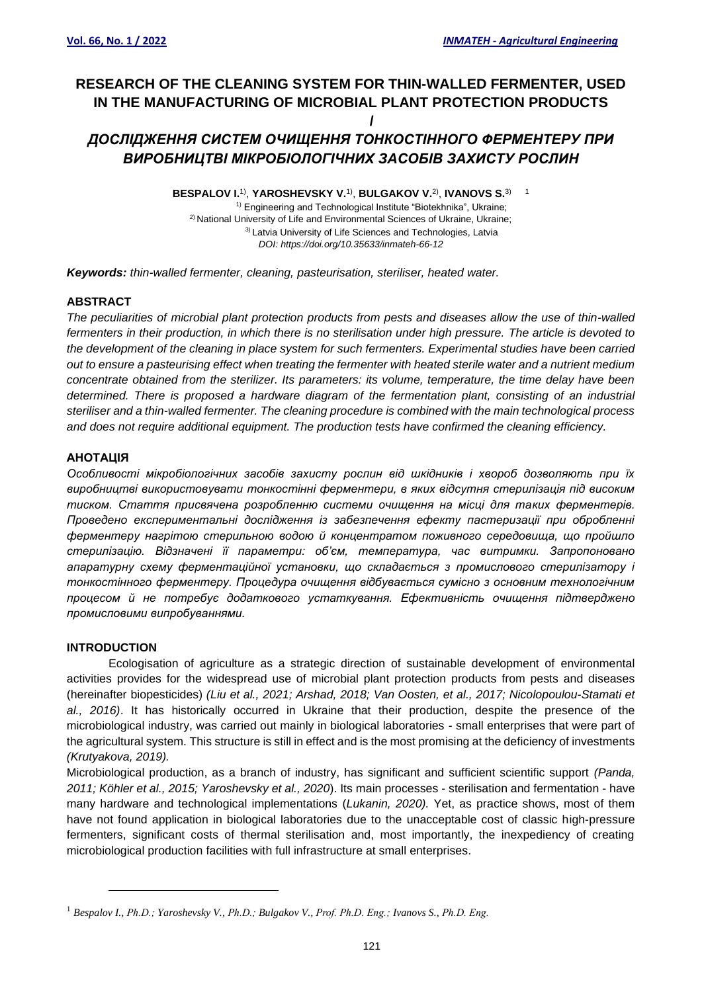# **RESEARCH OF THE CLEANING SYSTEM FOR THIN-WALLED FERMENTER, USED IN THE MANUFACTURING OF MICROBIAL PLANT PROTECTION PRODUCTS /**

# *ДОСЛІДЖЕННЯ СИСТЕМ ОЧИЩЕННЯ ТОНКОСТІННОГО ФЕРМЕНТЕРУ ПРИ ВИРОБНИЦТВІ МІКРОБІОЛОГІЧНИХ ЗАСОБІВ ЗАХИСТУ РОСЛИН*

**BESPALOV I.**1) , **YAROSHEVSKY V.**1) , **BULGAKOV V.**2) , **IVANOVS S.**3) 1 <sup>1)</sup> Engineering and Technological Institute "Biotekhnika", Ukraine; <sup>2)</sup> National University of Life and Environmental Sciences of Ukraine, Ukraine; <sup>3)</sup> Latvia University of Life Sciences and Technologies, Latvia *DOI: https://doi.org/10.35633/inmateh-66-12*

*Keywords: thin-walled fermenter, cleaning, pasteurisation, steriliser, heated water.*

## **ABSTRACT**

*The peculiarities of microbial plant protection products from pests and diseases allow the use of thin-walled fermenters in their production, in which there is no sterilisation under high pressure. The article is devoted to the development of the cleaning in place system for such fermenters. Experimental studies have been carried out to ensure a pasteurising effect when treating the fermenter with heated sterile water and a nutrient medium concentrate obtained from the sterilizer. Its parameters: its volume, temperature, the time delay have been determined. There is proposed a hardware diagram of the fermentation plant, consisting of an industrial steriliser and a thin-walled fermenter. The cleaning procedure is combined with the main technological process and does not require additional equipment. The production tests have confirmed the cleaning efficiency.*

### **АНОТАЦІЯ**

*Особливості мікробіологічних засобів захисту рослин від шкідників і хвороб дозволяють при їх виробництві використовувати тонкостінні ферментери, в яких відсутня стерилізація під високим тиском. Стаття присвячена розробленню системи очищення на місці для таких ферментерів. Проведено експериментальні дослідження із забезпечення ефекту пастеризації при обробленні ферментеру нагрітою стерильною водою й концентратом поживного середовища, що пройшло стерилізацію. Відзначені її параметри: об'єм, температура, час витримки. Запропоновано апаратурну схему ферментаційної установки, що складається з промислового стерилізатору і тонкостінного ферментеру. Процедура очищення відбувається сумісно з основним технологічним процесом й не потребує додаткового устаткування. Ефективність очищення підтверджено промисловими випробуваннями.*

### **INTRODUCTION**

Ecologisation of agriculture as a strategic direction of sustainable development of environmental activities provides for the widespread use of microbial plant protection products from pests and diseases (hereinafter biopesticides) *(Liu et al., 2021; Arshad, 2018; Van Oosten, et al., 2017; Nicolopoulou-Stamati et al., 2016)*. It has historically occurred in Ukraine that their production, despite the presence of the microbiological industry, was carried out mainly in biological laboratories - small enterprises that were part of the agricultural system. This structure is still in effect and is the most promising at the deficiency of investments *(Krutyakova, 2019).*

Microbiological production, as a branch of industry, has significant and sufficient scientific support *(Panda, 2011; Köhler et al., 2015; Yaroshevsky et al., 2020*). Its main processes - sterilisation and fermentation - have many hardware and technological implementations (*Lukanin, 2020).* Yet, as practice shows, most of them have not found application in biological laboratories due to the unacceptable cost of classic high-pressure fermenters, significant costs of thermal sterilisation and, most importantly, the inexpediency of creating microbiological production facilities with full infrastructure at small enterprises.

<sup>1</sup> *Bespalov I., Ph.D.; Yaroshevsky V., Ph.D.; Bulgakov V., Prof. Ph.D. Eng.; Ivanovs S., Ph.D. Eng.*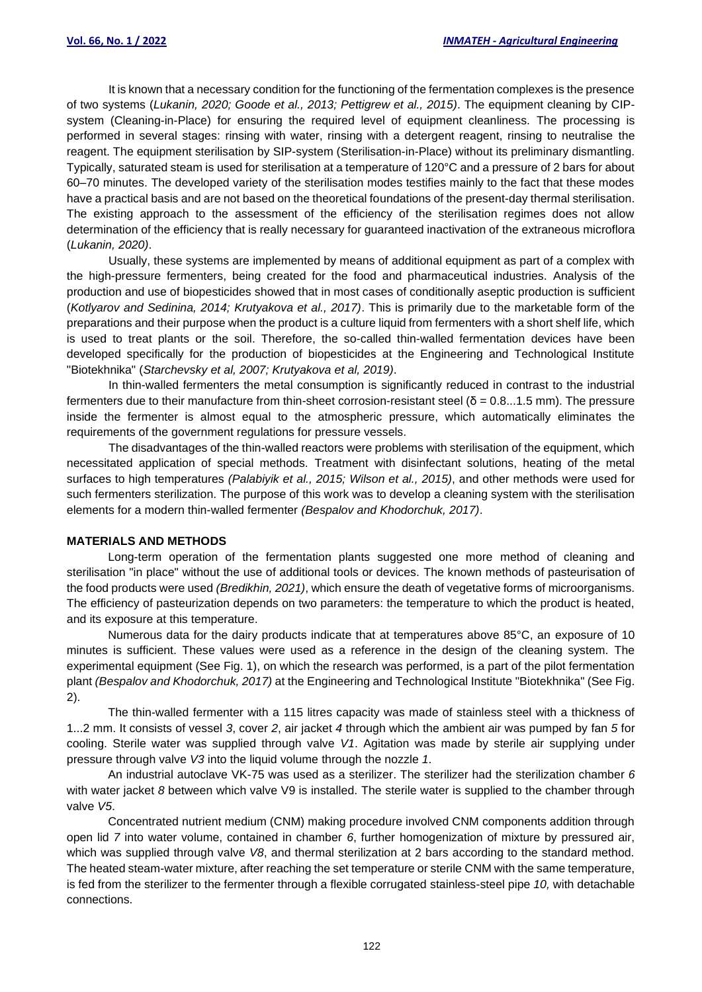It is known that a necessary condition for the functioning of the fermentation complexes is the presence of two systems (*Lukanin, 2020; Goode et al., 2013; Pettigrew et al., 2015)*. The equipment cleaning by CIPsystem (Cleaning-in-Place) for ensuring the required level of equipment cleanliness. The processing is performed in several stages: rinsing with water, rinsing with a detergent reagent, rinsing to neutralise the reagent. The equipment sterilisation by SIP-system (Sterilisation-in-Place) without its preliminary dismantling. Typically, saturated steam is used for sterilisation at a temperature of 120°C and a pressure of 2 bars for about 60–70 minutes. The developed variety of the sterilisation modes testifies mainly to the fact that these modes have a practical basis and are not based on the theoretical foundations of the present-day thermal sterilisation. The existing approach to the assessment of the efficiency of the sterilisation regimes does not allow determination of the efficiency that is really necessary for guaranteed inactivation of the extraneous microflora (*Lukanin, 2020)*.

Usually, these systems are implemented by means of additional equipment as part of a complex with the high-pressure fermenters, being created for the food and pharmaceutical industries. Analysis of the production and use of biopesticides showed that in most cases of conditionally aseptic production is sufficient (*Kotlyarov and Sedinina, 2014; Krutyakova et al., 2017)*. This is primarily due to the marketable form of the preparations and their purpose when the product is a culture liquid from fermenters with a short shelf life, which is used to treat plants or the soil. Therefore, the so-called thin-walled fermentation devices have been developed specifically for the production of biopesticides at the Engineering and Technological Institute "Biotekhnika" (*Starchevsky et al, 2007; Krutyakova et al, 2019)*.

In thin-walled fermenters the metal consumption is significantly reduced in contrast to the industrial fermenters due to their manufacture from thin-sheet corrosion-resistant steel (δ = 0.8...1.5 mm). The pressure inside the fermenter is almost equal to the atmospheric pressure, which automatically eliminates the requirements of the government regulations for pressure vessels.

The disadvantages of the thin-walled reactors were problems with sterilisation of the equipment, which necessitated application of special methods. Treatment with disinfectant solutions, heating of the metal surfaces to high temperatures *(Palabiyik et al., 2015; Wilson et al., 2015)*, and other methods were used for such fermenters sterilization. The purpose of this work was to develop a cleaning system with the sterilisation elements for a modern thin-walled fermenter *(Bespalov and Khodorchuk, 2017)*.

#### **MATERIALS AND METHODS**

Long-term operation of the fermentation plants suggested one more method of cleaning and sterilisation "in place" without the use of additional tools or devices. The known methods of pasteurisation of the food products were used *(Bredikhin, 2021)*, which ensure the death of vegetative forms of microorganisms. The efficiency of pasteurization depends on two parameters: the temperature to which the product is heated, and its exposure at this temperature.

Numerous data for the dairy products indicate that at temperatures above 85°C, an exposure of 10 minutes is sufficient. These values were used as a reference in the design of the cleaning system. The experimental equipment (See Fig. 1), on which the research was performed, is a part of the pilot fermentation plant *(Bespalov and Khodorchuk, 2017)* at the Engineering and Technological Institute "Biotekhnika" (See Fig. 2).

The thin-walled fermenter with a 115 litres capacity was made of stainless steel with a thickness of 1...2 mm. It consists of vessel *3*, cover *2*, air jacket *4* through which the ambient air was pumped by fan *5* for cooling. Sterile water was supplied through valve *V1*. Agitation was made by sterile air supplying under pressure through valve *V3* into the liquid volume through the nozzle *1*.

An industrial autoclave VK-75 was used as a sterilizer. The sterilizer had the sterilization chamber *6* with water jacket *8* between which valve V9 is installed. The sterile water is supplied to the chamber through valve *V5*.

Concentrated nutrient medium (CNM) making procedure involved CNM components addition through open lid *7* into water volume, contained in chamber *6*, further homogenization of mixture by pressured air, which was supplied through valve *V8*, and thermal sterilization at 2 bars according to the standard method. The heated steam-water mixture, after reaching the set temperature or sterile CNM with the same temperature, is fed from the sterilizer to the fermenter through a flexible corrugated stainless-steel pipe *10,* with detachable connections.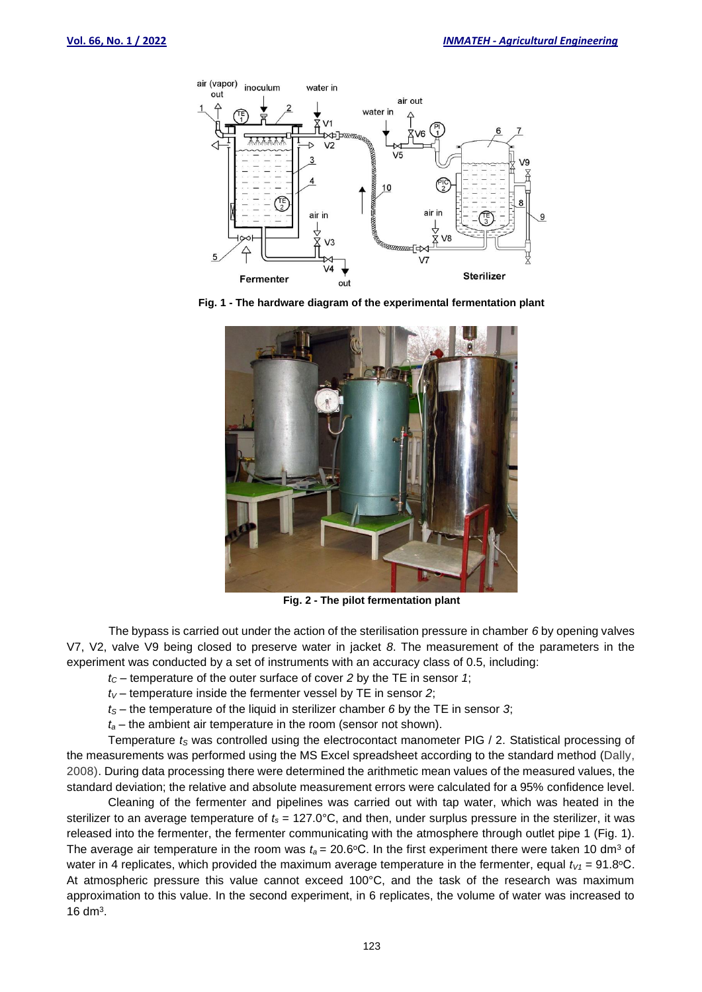

**Fig. 1 - The hardware diagram of the experimental fermentation plant**



**Fig. 2 - The pilot fermentation plant**

The bypass is carried out under the action of the sterilisation pressure in chamber *6* by opening valves V7, V2, valve V9 being closed to preserve water in jacket *8*. The measurement of the parameters in the experiment was conducted by a set of instruments with an accuracy class of 0.5, including:

- *t<sup>C</sup>* temperature of the outer surface of cover *2* by the TE in sensor *1*;
- $t_V$  temperature inside the fermenter vessel by TE in sensor 2;
- *t<sup>S</sup>* the temperature of the liquid in sterilizer chamber *6* by the TE in sensor *3*;
- *t<sup>a</sup>* the ambient air temperature in the room (sensor not shown).

Temperature *t<sup>S</sup>* was controlled using the electrocontact manometer PIG / 2. Statistical processing of the measurements was performed using the MS Excel spreadsheet according to the standard method (Dally, 2008). During data processing there were determined the arithmetic mean values of the measured values, the standard deviation; the relative and absolute measurement errors were calculated for a 95% confidence level.

Cleaning of the fermenter and pipelines was carried out with tap water, which was heated in the sterilizer to an average temperature of *t<sup>s</sup>* = 127.0°C, and then, under surplus pressure in the sterilizer, it was released into the fermenter, the fermenter communicating with the atmosphere through outlet pipe 1 (Fig. 1). The average air temperature in the room was  $t_a = 20.6$ °C. In the first experiment there were taken 10 dm<sup>3</sup> of water in 4 replicates, which provided the maximum average temperature in the fermenter, equal  $t_{V1} = 91.8$  °C. At atmospheric pressure this value cannot exceed 100°C, and the task of the research was maximum approximation to this value. In the second experiment, in 6 replicates, the volume of water was increased to  $16 \text{ dm}^3$ .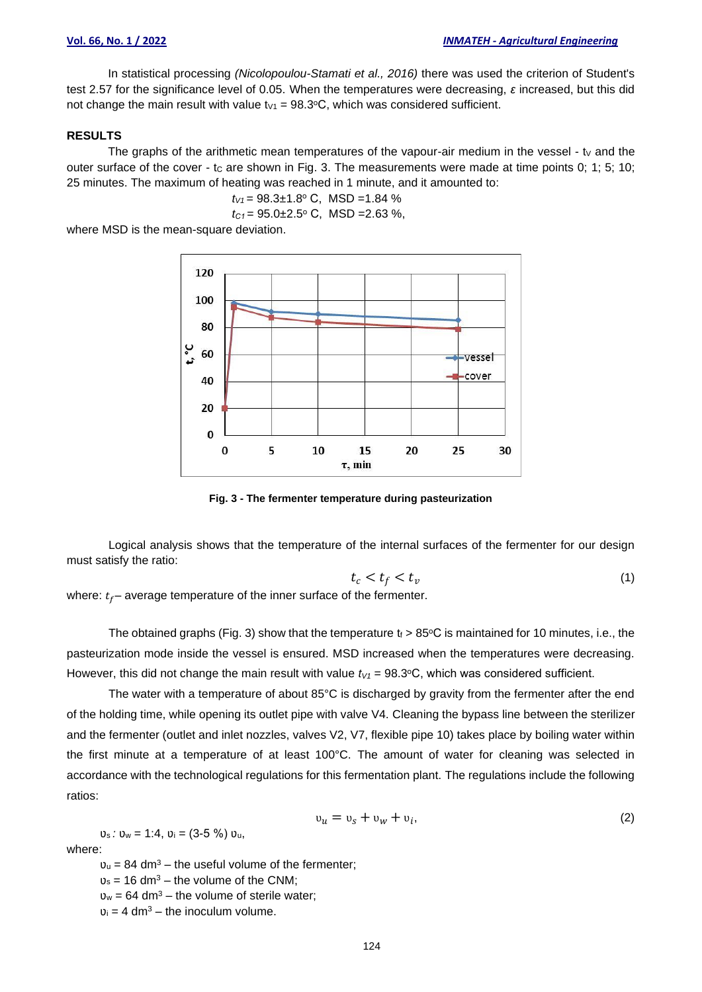In statistical processing *(Nicolopoulou-Stamati et al., 2016)* there was used the criterion of Student's test 2.57 for the significance level of 0.05. When the temperatures were decreasing, *ε* increased, but this did not change the main result with value  $t_{V1} = 98.3$ °C, which was considered sufficient.

## **RESULTS**

The graphs of the arithmetic mean temperatures of the vapour-air medium in the vessel - ty and the outer surface of the cover - tc are shown in Fig. 3. The measurements were made at time points 0; 1; 5; 10; 25 minutes. The maximum of heating was reached in 1 minute, and it amounted to:

$$
t_{V1} = 98.3 \pm 1.8^{\circ}
$$
 C, MSD = 1.84 %

$$
t_{C1} = 95.0 \pm 2.5
$$
° C, MSD = 2.63 %,

where MSD is the mean-square deviation.



**Fig. 3 - The fermenter temperature during pasteurization**

Logical analysis shows that the temperature of the internal surfaces of the fermenter for our design must satisfy the ratio:

$$
t_c < t_f < t_v \tag{1}
$$

where:  $t_f$  – average temperature of the inner surface of the fermenter.

The obtained graphs (Fig. 3) show that the temperature  $t_f > 85^{\circ}$ C is maintained for 10 minutes, i.e., the pasteurization mode inside the vessel is ensured. MSD increased when the temperatures were decreasing. However, this did not change the main result with value  $t<sub>V1</sub> = 98.3$ <sup>o</sup>C, which was considered sufficient.

The water with a temperature of about 85°C is discharged by gravity from the fermenter after the end of the holding time, while opening its outlet pipe with valve V4. Cleaning the bypass line between the sterilizer and the fermenter (outlet and inlet nozzles, valves V2, V7, flexible pipe 10) takes place by boiling water within the first minute at a temperature of at least 100°C. The amount of water for cleaning was selected in accordance with the technological regulations for this fermentation plant. The regulations include the following ratios:

$$
v_u = v_s + v_w + v_i, \tag{2}
$$

where:

 $v<sub>u</sub> = 84$  dm<sup>3</sup> – the useful volume of the fermenter;

 $v_s = 16$  dm<sup>3</sup> – the volume of the CNM;

 $v_w = 64$  dm<sup>3</sup> – the volume of sterile water;

 $v_i = 4$  dm<sup>3</sup> – the inoculum volume.

 $v_s : v_w = 1:4$ ,  $v_i = (3.5\%) v_u$ ,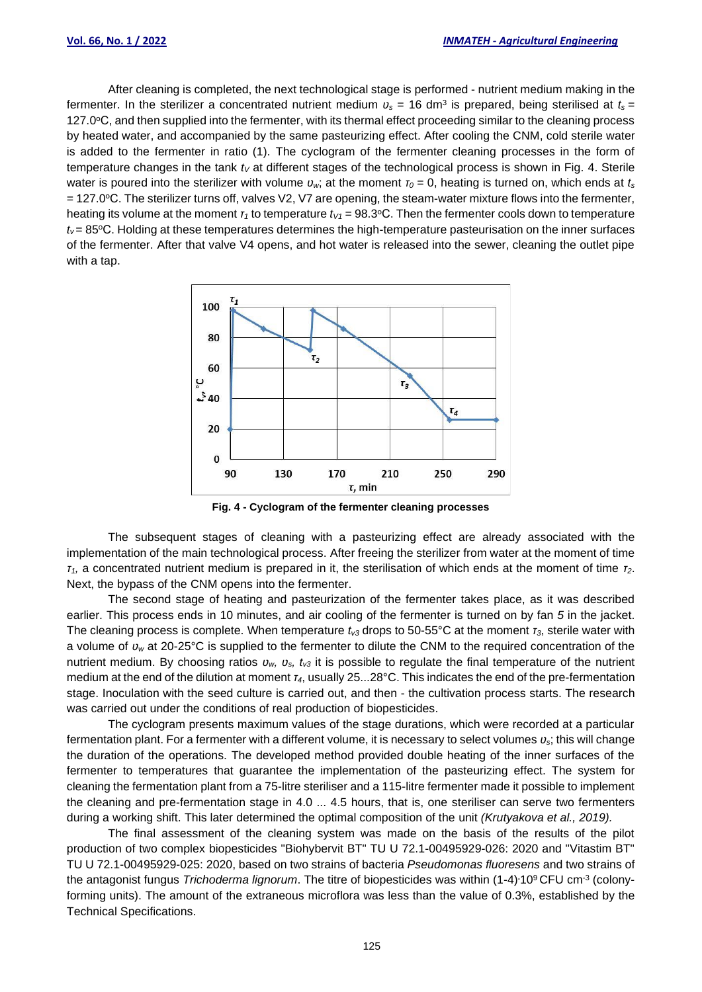After cleaning is completed, the next technological stage is performed - nutrient medium making in the fermenter. In the sterilizer a concentrated nutrient medium  $v_s$  = 16 dm<sup>3</sup> is prepared, being sterilised at  $t_s$  = 127.0℃, and then supplied into the fermenter, with its thermal effect proceeding similar to the cleaning process by heated water, and accompanied by the same pasteurizing effect. After cooling the CNM, cold sterile water is added to the fermenter in ratio (1). The cyclogram of the fermenter cleaning processes in the form of temperature changes in the tank *t<sup>V</sup>* at different stages of the technological process is shown in Fig. 4. Sterile water is poured into the sterilizer with volume  $v_w$ ; at the moment  $r_0 = 0$ , heating is turned on, which ends at  $t_s$ = 127.0 °C. The sterilizer turns off, valves V2, V7 are opening, the steam-water mixture flows into the fermenter, heating its volume at the moment  $\tau_1$  to temperature  $t_{V1} = 98.3$ °C. Then the fermenter cools down to temperature *t*<sup>*v*</sup> = 85°C. Holding at these temperatures determines the high-temperature pasteurisation on the inner surfaces of the fermenter. After that valve V4 opens, and hot water is released into the sewer, cleaning the outlet pipe with a tap.



**Fig. 4 - Cyclogram of the fermenter cleaning processes**

The subsequent stages of cleaning with a pasteurizing effect are already associated with the implementation of the main technological process. After freeing the sterilizer from water at the moment of time *τ1,* a concentrated nutrient medium is prepared in it, the sterilisation of which ends at the moment of time *τ2*. Next, the bypass of the CNM opens into the fermenter.

The second stage of heating and pasteurization of the fermenter takes place, as it was described earlier. This process ends in 10 minutes, and air cooling of the fermenter is turned on by fan *5* in the jacket. The cleaning process is complete. When temperature *tv3* drops to 50-55°C at the moment *τ3*, sterile water with a volume of *ʋ<sup>w</sup>* at 20-25°C is supplied to the fermenter to dilute the CNM to the required concentration of the nutrient medium. By choosing ratios  $v_w$ ,  $v_s$ ,  $t_{\nu 3}$  it is possible to regulate the final temperature of the nutrient medium at the end of the dilution at moment *τ4*, usually 25...28°C. This indicates the end of the pre-fermentation stage. Inoculation with the seed culture is carried out, and then - the cultivation process starts. The research was carried out under the conditions of real production of biopesticides.

The cyclogram presents maximum values of the stage durations, which were recorded at a particular fermentation plant. For a fermenter with a different volume, it is necessary to select volumes *ʋs*; this will change the duration of the operations. The developed method provided double heating of the inner surfaces of the fermenter to temperatures that guarantee the implementation of the pasteurizing effect. The system for cleaning the fermentation plant from a 75-litre steriliser and a 115-litre fermenter made it possible to implement the cleaning and pre-fermentation stage in 4.0 ... 4.5 hours, that is, one steriliser can serve two fermenters during a working shift. This later determined the optimal composition of the unit *(Krutyakova et al., 2019).*

The final assessment of the cleaning system was made on the basis of the results of the pilot production of two complex biopesticides "Biohybervit BT" TU U 72.1-00495929-026: 2020 and "Vitastim BT" TU U 72.1-00495929-025: 2020, based on two strains of bacteria *Pseudomonas fluoresens* and two strains of the antagonist fungus *Trichoderma lignorum*. The titre of biopesticides was within (1-4)<sup>.</sup>10<sup>9</sup> CFU cm<sup>-3</sup> (colonyforming units). The amount of the extraneous microflora was less than the value of 0.3%, established by the Technical Specifications.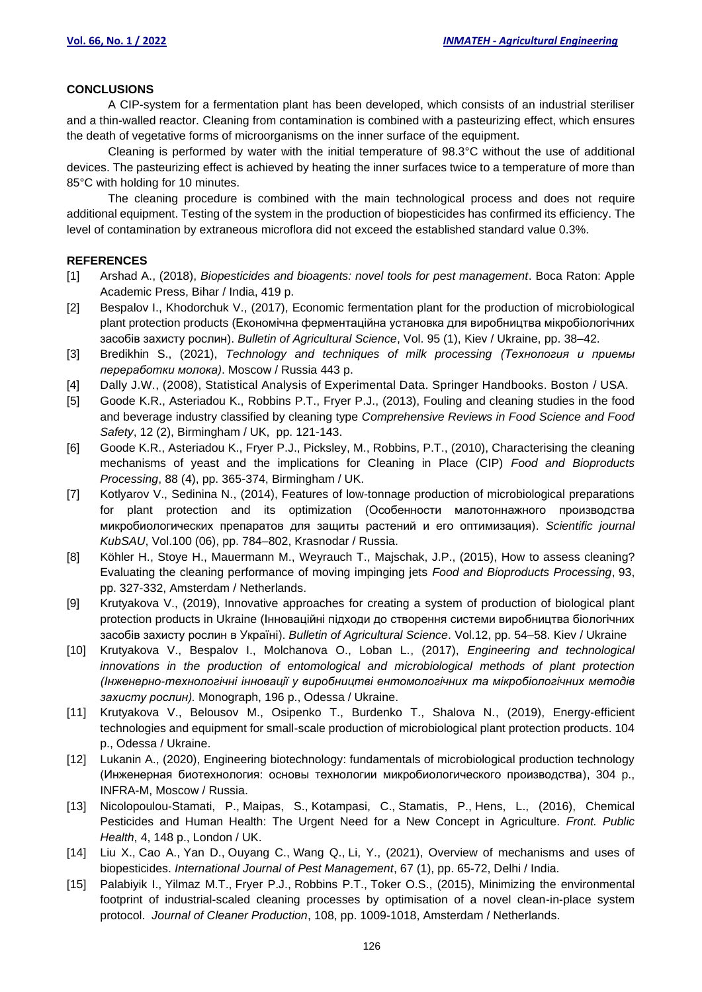#### **CONCLUSIONS**

A CIP-system for a fermentation plant has been developed, which consists of an industrial steriliser and a thin-walled reactor. Cleaning from contamination is combined with a pasteurizing effect, which ensures the death of vegetative forms of microorganisms on the inner surface of the equipment.

Cleaning is performed by water with the initial temperature of 98.3°C without the use of additional devices. The pasteurizing effect is achieved by heating the inner surfaces twice to a temperature of more than 85°C with holding for 10 minutes.

The cleaning procedure is combined with the main technological process and does not require additional equipment. Testing of the system in the production of biopesticides has confirmed its efficiency. The level of contamination by extraneous microflora did not exceed the established standard value 0.3%.

#### **REFERENCES**

- [1] Arshad A., (2018), *Biopesticides and bioagents: novel tools for pest management*. Boca Raton: Apple Academic Press, Bihar / India, 419 p.
- [2] Bespalov I., Khodorchuk V., (2017), Economic fermentation plant for the production of microbiological plant protection products (Економічна ферментаційна установка для виробництва мікробіологічних засобів захисту рослин). *Bulletin of Agricultural Science*, Vol. 95 (1), Kiev / Ukraine, pp. 38–42.
- [3] Bredikhin S., (2021), *Technology and techniques of milk processing (Технология и приемы переработки молока)*. Moscow / Russia 443 p.
- [4] Dally J.W., (2008), Statistical Analysis of Experimental Data. Springer Handbooks. Boston / USA.
- [5] Goode K.R., Asteriadou K., Robbins P.T., Fryer P.J., (2013), [Fouling and cleaning studies in the food](https://www.scopus.com/record/display.uri?eid=2-s2.0-84875014247&origin=reflist&sort=plf-f&src=s&sid=5a3d9e48d8d00af920a6c091b94c87cf&sot=b&sdt=b&sl=24&s=KEY%28fermenter%2c+cleaning%29)  [and beverage industry classified by cleaning type](https://www.scopus.com/record/display.uri?eid=2-s2.0-84875014247&origin=reflist&sort=plf-f&src=s&sid=5a3d9e48d8d00af920a6c091b94c87cf&sot=b&sdt=b&sl=24&s=KEY%28fermenter%2c+cleaning%29) *Comprehensive Reviews in Food Science and Food Safety*, 12 (2), Birmingham / UK, pp. 121-143.
- [6] Goode K.R., Asteriadou K., Fryer P.J., Picksley, M., Robbins, P.T., (2010), [Characterising the cleaning](https://www.scopus.com/record/display.uri?eid=2-s2.0-78649827432&origin=reflist&sort=plf-f&src=s&sid=5a3d9e48d8d00af920a6c091b94c87cf&sot=b&sdt=b&sl=24&s=KEY%28fermenter%2c+cleaning%29)  [mechanisms of yeast and the implications for Cleaning in Place \(CIP\)](https://www.scopus.com/record/display.uri?eid=2-s2.0-78649827432&origin=reflist&sort=plf-f&src=s&sid=5a3d9e48d8d00af920a6c091b94c87cf&sot=b&sdt=b&sl=24&s=KEY%28fermenter%2c+cleaning%29) *Food and Bioproducts Processing*, 88 (4), pp. 365-374, Birmingham / UK.
- [7] Kotlyarov V., Sedinina N., (2014), Features of low-tonnage production of microbiological preparations for plant protection and its optimization (Особенности малотоннажного производства микробиологических препаратов для защиты растений и его оптимизация). *Scientific journal KubSAU*, Vol.100 (06), pp. 784–802, Krasnodar / Russia.
- [8] Köhler H., Stoye H., Mauermann M., Weyrauch T., Majschak, J.P., (2015), [How to assess](https://www.scopus.com/record/display.uri?eid=2-s2.0-84956778342&origin=reflist&sort=plf-f&src=s&sid=5a3d9e48d8d00af920a6c091b94c87cf&sot=b&sdt=b&sl=24&s=KEY%28fermenter%2c+cleaning%29) cleaning? [Evaluating the cleaning performance of moving impinging jets](https://www.scopus.com/record/display.uri?eid=2-s2.0-84956778342&origin=reflist&sort=plf-f&src=s&sid=5a3d9e48d8d00af920a6c091b94c87cf&sot=b&sdt=b&sl=24&s=KEY%28fermenter%2c+cleaning%29) *Food and Bioproducts Processing*, 93, pp. 327-332, Amsterdam / Netherlands.
- [9] Krutyakova V., (2019), Innovative approaches for creating a system of production of biological plant protection products in Ukraine (Інноваційні підходи до створення системи виробництва біологічних засобів захисту рослин в Україні). *Bulletin of Agricultural Science*. Vol.12, pp. 54–58. Kiev / Ukraine
- [10] Krutyakova V., Bespalov I., Molchanova O., Loban L., (2017), *Engineering and technological innovations in the production of entomological and microbiological methods of plant protection (Інженерно-технологічні інновації у виробництві ентомологічних та мікробіологічних методів захисту рослин).* Monograph, 196 p., Odessa / Ukraine.
- [11] Krutyakova V., Belousov M., Osipenko T., Burdenko T., Shalova N., (2019), Energy-efficient technologies and equipment for small-scale production of microbiological plant protection products. 104 p., Odessa / Ukraine.
- [12] Lukanin A., (2020), Engineering biotechnology: fundamentals of microbiological production technology (Инженерная биотехнология: основы технологии микробиологического производства), 304 p., INFRA-M, Moscow / Russia.
- [13] Nicolopoulou-Stamati, P., Maipas, S., Kotampasi, C., Stamatis, P., Hens, L., (2016), Chemical Pesticides and Human Health: The Urgent Need for a New Concept in Agriculture. *Front. Public Health*, 4, 148 p., London / UK.
- [14] Liu X., Cao A., Yan D., Ouyang C., Wang Q., Li, Y., (2021), [Overview of mechanisms and uses of](https://www.scopus.com/record/display.uri?eid=2-s2.0-85074024824&origin=reflist&sort=plf-f&src=s&sid=edaac018fb303867ee7f3c41266b0f74&sot=b&sdt=b&sl=18&s=KEY%28Biopesticides%29)  [biopesticides.](https://www.scopus.com/record/display.uri?eid=2-s2.0-85074024824&origin=reflist&sort=plf-f&src=s&sid=edaac018fb303867ee7f3c41266b0f74&sot=b&sdt=b&sl=18&s=KEY%28Biopesticides%29) *International Journal of Pest Management*, 67 (1), pp. 65-72, Delhi / India.
- [15] Palabiyik I., Yilmaz M.T., Fryer P.J., Robbins P.T., Toker O.S., (2015), [Minimizing the environmental](https://www.scopus.com/record/display.uri?eid=2-s2.0-84955722805&origin=reflist&sort=plf-f&src=s&sid=5a3d9e48d8d00af920a6c091b94c87cf&sot=b&sdt=b&sl=24&s=KEY%28fermenter%2c+cleaning%29)  [footprint of industrial-scaled cleaning processes by optimisation of a novel clean-in-place system](https://www.scopus.com/record/display.uri?eid=2-s2.0-84955722805&origin=reflist&sort=plf-f&src=s&sid=5a3d9e48d8d00af920a6c091b94c87cf&sot=b&sdt=b&sl=24&s=KEY%28fermenter%2c+cleaning%29)  [protocol.](https://www.scopus.com/record/display.uri?eid=2-s2.0-84955722805&origin=reflist&sort=plf-f&src=s&sid=5a3d9e48d8d00af920a6c091b94c87cf&sot=b&sdt=b&sl=24&s=KEY%28fermenter%2c+cleaning%29) *Journal of Cleaner Production*, 108, pp. 1009-1018, Amsterdam / Netherlands.